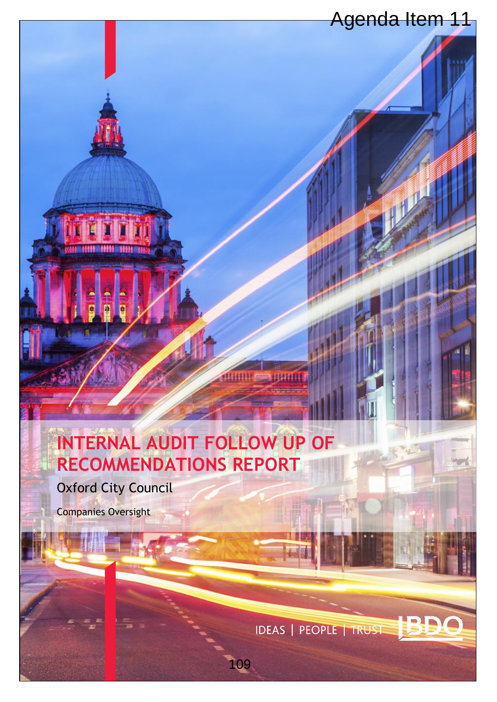# **INTERNAL AUDIT FOLLOW UP OF RECOMMENDATIONS REPORT** Agenda Item 11<br>
109 Agenda Item 11<br>
109 Agenda Item 11<br>
109 Agenda Item 11<br>
109 Agenda Item 11<br>
109 Agenda Item 11<br>
109 Agenda Item 11<br>
109 Agenda Item 11<br>
109 Agenda Item 11<br>
109 Agenda Item 11<br>
109 Agenda Item 11<br>
109 Ag

Oxford City Council

400561

144434

Companies Oversight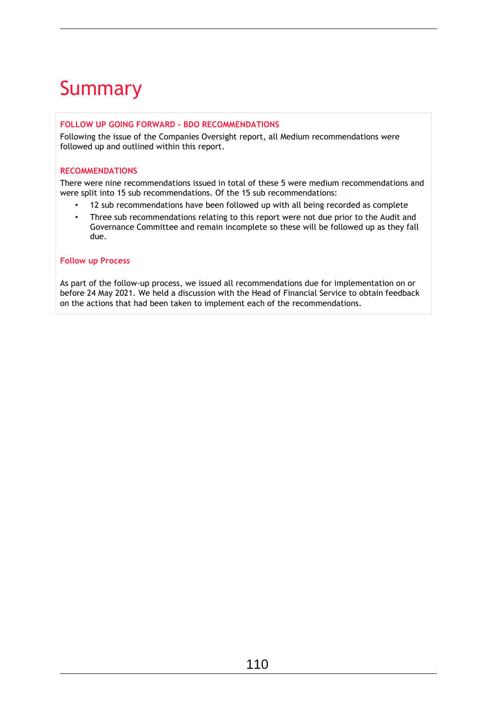# Summary

## **FOLLOW UP GOING FORWARD - BDO RECOMMENDATIONS**

Following the issue of the Companies Oversight report, all Medium recommendations were followed up and outlined within this report.

### **RECOMMENDATIONS**

There were nine recommendations issued in total of these 5 were medium recommendations and were split into 15 sub recommendations. Of the 15 sub recommendations:

- 12 sub recommendations have been followed up with all being recorded as complete
- Three sub recommendations relating to this report were not due prior to the Audit and Governance Committee and remain incomplete so these will be followed up as they fall due.

## **Follow up Process**

As part of the follow-up process, we issued all recommendations due for implementation on or before 24 May 2021. We held a discussion with the Head of Financial Service to obtain feedback on the actions that had been taken to implement each of the recommendations.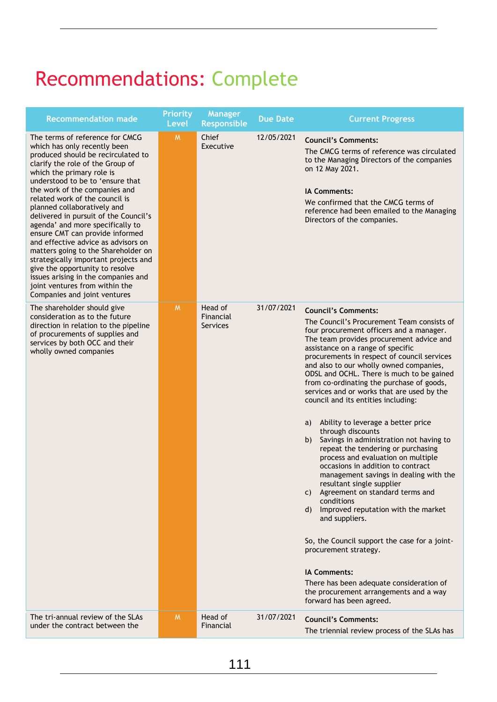# Recommendations: Complete

| <b>Recommendation made</b>                                                                                                                                                                                                                                                                                                                                                                                                                                                                                                                                                                                                                                                                     | <b>Priority</b><br><b>Level</b> | <b>Manager</b><br><b>Responsible</b> | <b>Due Date</b> | <b>Current Progress</b>                                                                                                                                                                                                                                                                                                                                                                                                                                                                                                                                                                                                                                                                                                                                                                                                                                                                                                                                                                                                                                                                                                           |
|------------------------------------------------------------------------------------------------------------------------------------------------------------------------------------------------------------------------------------------------------------------------------------------------------------------------------------------------------------------------------------------------------------------------------------------------------------------------------------------------------------------------------------------------------------------------------------------------------------------------------------------------------------------------------------------------|---------------------------------|--------------------------------------|-----------------|-----------------------------------------------------------------------------------------------------------------------------------------------------------------------------------------------------------------------------------------------------------------------------------------------------------------------------------------------------------------------------------------------------------------------------------------------------------------------------------------------------------------------------------------------------------------------------------------------------------------------------------------------------------------------------------------------------------------------------------------------------------------------------------------------------------------------------------------------------------------------------------------------------------------------------------------------------------------------------------------------------------------------------------------------------------------------------------------------------------------------------------|
| The terms of reference for CMCG<br>which has only recently been<br>produced should be recirculated to<br>clarify the role of the Group of<br>which the primary role is<br>understood to be to 'ensure that<br>the work of the companies and<br>related work of the council is<br>planned collaboratively and<br>delivered in pursuit of the Council's<br>agenda' and more specifically to<br>ensure CMT can provide informed<br>and effective advice as advisors on<br>matters going to the Shareholder on<br>strategically important projects and<br>give the opportunity to resolve<br>issues arising in the companies and<br>joint ventures from within the<br>Companies and joint ventures | M                               | Chief<br>Executive                   | 12/05/2021      | <b>Council's Comments:</b><br>The CMCG terms of reference was circulated<br>to the Managing Directors of the companies<br>on 12 May 2021.<br><b>IA Comments:</b><br>We confirmed that the CMCG terms of<br>reference had been emailed to the Managing<br>Directors of the companies.                                                                                                                                                                                                                                                                                                                                                                                                                                                                                                                                                                                                                                                                                                                                                                                                                                              |
| The shareholder should give<br>consideration as to the future<br>direction in relation to the pipeline<br>of procurements of supplies and<br>services by both OCC and their<br>wholly owned companies                                                                                                                                                                                                                                                                                                                                                                                                                                                                                          | M                               | Head of<br>Financial<br>Services     | 31/07/2021      | <b>Council's Comments:</b><br>The Council's Procurement Team consists of<br>four procurement officers and a manager.<br>The team provides procurement advice and<br>assistance on a range of specific<br>procurements in respect of council services<br>and also to our wholly owned companies,<br>ODSL and OCHL. There is much to be gained<br>from co-ordinating the purchase of goods,<br>services and or works that are used by the<br>council and its entities including:<br>Ability to leverage a better price<br>a)<br>through discounts<br>Savings in administration not having to<br>b)<br>repeat the tendering or purchasing<br>process and evaluation on multiple<br>occasions in addition to contract<br>management savings in dealing with the<br>resultant single supplier<br>Agreement on standard terms and<br>C)<br>conditions<br>Improved reputation with the market<br>d)<br>and suppliers.<br>So, the Council support the case for a joint-<br>procurement strategy.<br><b>IA Comments:</b><br>There has been adequate consideration of<br>the procurement arrangements and a way<br>forward has been agreed. |
| The tri-annual review of the SLAs<br>under the contract between the                                                                                                                                                                                                                                                                                                                                                                                                                                                                                                                                                                                                                            | M                               | Head of<br>Financial                 | 31/07/2021      | <b>Council's Comments:</b><br>The triennial review process of the SLAs has                                                                                                                                                                                                                                                                                                                                                                                                                                                                                                                                                                                                                                                                                                                                                                                                                                                                                                                                                                                                                                                        |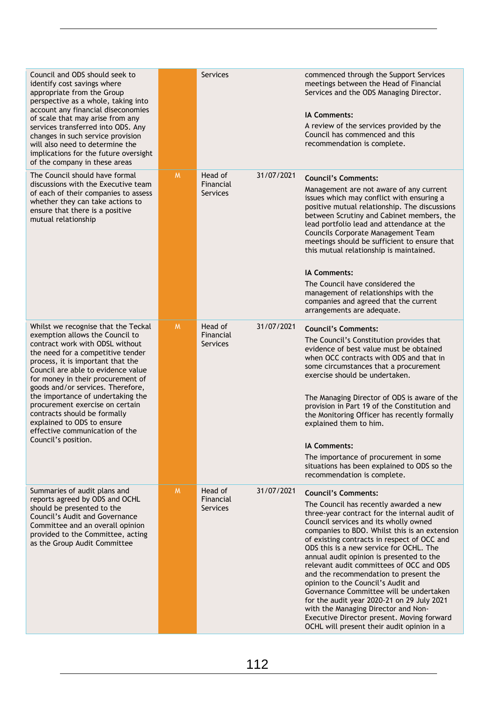| Council and ODS should seek to<br>identify cost savings where<br>appropriate from the Group<br>perspective as a whole, taking into<br>account any financial diseconomies<br>of scale that may arise from any<br>services transferred into ODS. Any<br>changes in such service provision<br>will also need to determine the<br>implications for the future oversight<br>of the company in these areas                                                                                               |   | Services                                |            | commenced through the Support Services<br>meetings between the Head of Financial<br>Services and the ODS Managing Director.<br><b>IA Comments:</b><br>A review of the services provided by the<br>Council has commenced and this<br>recommendation is complete.                                                                                                                                                                                                                                                                                                                                                                                                                                              |
|----------------------------------------------------------------------------------------------------------------------------------------------------------------------------------------------------------------------------------------------------------------------------------------------------------------------------------------------------------------------------------------------------------------------------------------------------------------------------------------------------|---|-----------------------------------------|------------|--------------------------------------------------------------------------------------------------------------------------------------------------------------------------------------------------------------------------------------------------------------------------------------------------------------------------------------------------------------------------------------------------------------------------------------------------------------------------------------------------------------------------------------------------------------------------------------------------------------------------------------------------------------------------------------------------------------|
| The Council should have formal<br>discussions with the Executive team<br>of each of their companies to assess<br>whether they can take actions to<br>ensure that there is a positive<br>mutual relationship                                                                                                                                                                                                                                                                                        | M | Head of<br>Financial<br><b>Services</b> | 31/07/2021 | <b>Council's Comments:</b><br>Management are not aware of any current<br>issues which may conflict with ensuring a<br>positive mutual relationship. The discussions<br>between Scrutiny and Cabinet members, the<br>lead portfolio lead and attendance at the<br>Councils Corporate Management Team<br>meetings should be sufficient to ensure that<br>this mutual relationship is maintained.<br><b>IA Comments:</b><br>The Council have considered the<br>management of relationships with the<br>companies and agreed that the current<br>arrangements are adequate.                                                                                                                                      |
| Whilst we recognise that the Teckal<br>exemption allows the Council to<br>contract work with ODSL without<br>the need for a competitive tender<br>process, it is important that the<br>Council are able to evidence value<br>for money in their procurement of<br>goods and/or services. Therefore,<br>the importance of undertaking the<br>procurement exercise on certain<br>contracts should be formally<br>explained to ODS to ensure<br>effective communication of the<br>Council's position. | M | Head of<br>Financial<br>Services        | 31/07/2021 | <b>Council's Comments:</b><br>The Council's Constitution provides that<br>evidence of best value must be obtained<br>when OCC contracts with ODS and that in<br>some circumstances that a procurement<br>exercise should be undertaken.<br>The Managing Director of ODS is aware of the<br>provision in Part 19 of the Constitution and<br>the Monitoring Officer has recently formally<br>explained them to him.<br><b>IA Comments:</b><br>The importance of procurement in some<br>situations has been explained to ODS so the<br>recommendation is complete.                                                                                                                                              |
| Summaries of audit plans and<br>reports agreed by ODS and OCHL<br>should be presented to the<br><b>Council's Audit and Governance</b><br>Committee and an overall opinion<br>provided to the Committee, acting<br>as the Group Audit Committee                                                                                                                                                                                                                                                     | M | Head of<br>Financial<br><b>Services</b> | 31/07/2021 | <b>Council's Comments:</b><br>The Council has recently awarded a new<br>three-year contract for the internal audit of<br>Council services and its wholly owned<br>companies to BDO. Whilst this is an extension<br>of existing contracts in respect of OCC and<br>ODS this is a new service for OCHL. The<br>annual audit opinion is presented to the<br>relevant audit committees of OCC and ODS<br>and the recommendation to present the<br>opinion to the Council's Audit and<br>Governance Committee will be undertaken<br>for the audit year 2020-21 on 29 July 2021<br>with the Managing Director and Non-<br>Executive Director present. Moving forward<br>OCHL will present their audit opinion in a |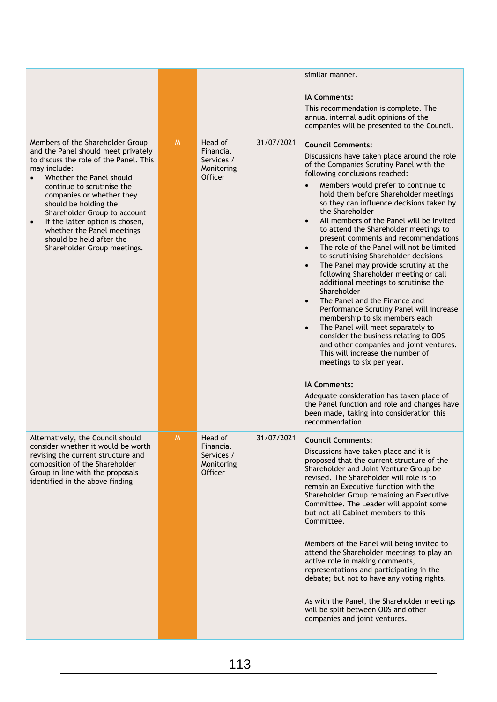|                                                                                                                                                                                                                                                                                                                                                                                                                            |          |                                                                    |            | similar manner.                                                                                                                                                                                                                                                                                                                                                                                                                                                                                                                                                                                                                                                                                                                                                                                                                                                                                                                                                                                                    |
|----------------------------------------------------------------------------------------------------------------------------------------------------------------------------------------------------------------------------------------------------------------------------------------------------------------------------------------------------------------------------------------------------------------------------|----------|--------------------------------------------------------------------|------------|--------------------------------------------------------------------------------------------------------------------------------------------------------------------------------------------------------------------------------------------------------------------------------------------------------------------------------------------------------------------------------------------------------------------------------------------------------------------------------------------------------------------------------------------------------------------------------------------------------------------------------------------------------------------------------------------------------------------------------------------------------------------------------------------------------------------------------------------------------------------------------------------------------------------------------------------------------------------------------------------------------------------|
|                                                                                                                                                                                                                                                                                                                                                                                                                            |          |                                                                    |            | <b>IA Comments:</b><br>This recommendation is complete. The                                                                                                                                                                                                                                                                                                                                                                                                                                                                                                                                                                                                                                                                                                                                                                                                                                                                                                                                                        |
|                                                                                                                                                                                                                                                                                                                                                                                                                            |          |                                                                    |            | annual internal audit opinions of the<br>companies will be presented to the Council.                                                                                                                                                                                                                                                                                                                                                                                                                                                                                                                                                                                                                                                                                                                                                                                                                                                                                                                               |
| Members of the Shareholder Group<br>and the Panel should meet privately<br>to discuss the role of the Panel. This<br>may include:<br>Whether the Panel should<br>continue to scrutinise the<br>companies or whether they<br>should be holding the<br>Shareholder Group to account<br>If the latter option is chosen,<br>$\bullet$<br>whether the Panel meetings<br>should be held after the<br>Shareholder Group meetings. | <b>M</b> | Head of<br>Financial<br>Services /<br>Monitoring<br>Officer        | 31/07/2021 | <b>Council Comments:</b><br>Discussions have taken place around the role<br>of the Companies Scrutiny Panel with the<br>following conclusions reached:<br>Members would prefer to continue to<br>$\bullet$<br>hold them before Shareholder meetings<br>so they can influence decisions taken by<br>the Shareholder<br>All members of the Panel will be invited<br>to attend the Shareholder meetings to<br>present comments and recommendations<br>The role of the Panel will not be limited<br>to scrutinising Shareholder decisions<br>The Panel may provide scrutiny at the<br>$\bullet$<br>following Shareholder meeting or call<br>additional meetings to scrutinise the<br>Shareholder<br>The Panel and the Finance and<br>$\bullet$<br>Performance Scrutiny Panel will increase<br>membership to six members each<br>The Panel will meet separately to<br>consider the business relating to ODS<br>and other companies and joint ventures.<br>This will increase the number of<br>meetings to six per year. |
|                                                                                                                                                                                                                                                                                                                                                                                                                            |          |                                                                    |            | <b>IA Comments:</b><br>Adequate consideration has taken place of<br>the Panel function and role and changes have<br>been made, taking into consideration this<br>recommendation.                                                                                                                                                                                                                                                                                                                                                                                                                                                                                                                                                                                                                                                                                                                                                                                                                                   |
| Alternatively, the Council should<br>consider whether it would be worth<br>revising the current structure and<br>composition of the Shareholder<br>Group in line with the proposals<br>identified in the above finding                                                                                                                                                                                                     | M.       | Head of<br>Financial<br>Services /<br>Monitoring<br><b>Officer</b> | 31/07/2021 | <b>Council Comments:</b><br>Discussions have taken place and it is<br>proposed that the current structure of the<br>Shareholder and Joint Venture Group be<br>revised. The Shareholder will role is to<br>remain an Executive function with the<br>Shareholder Group remaining an Executive<br>Committee. The Leader will appoint some<br>but not all Cabinet members to this<br>Committee.<br>Members of the Panel will being invited to<br>attend the Shareholder meetings to play an<br>active role in making comments,<br>representations and participating in the<br>debate; but not to have any voting rights.<br>As with the Panel, the Shareholder meetings<br>will be split between ODS and other<br>companies and joint ventures.                                                                                                                                                                                                                                                                        |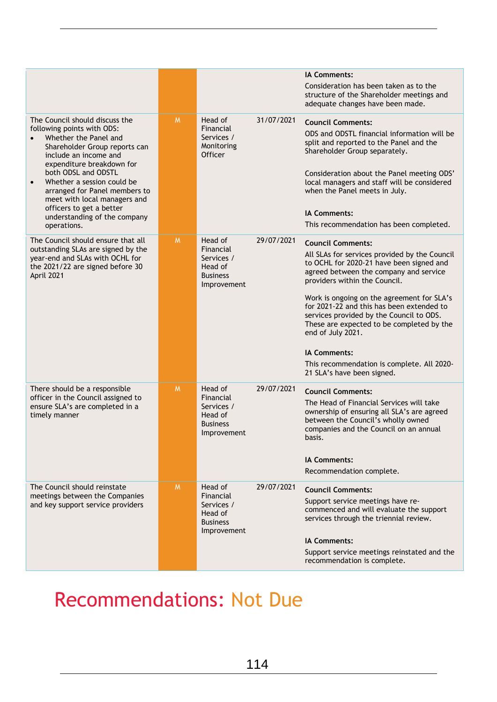|                                                                                                                                                                                                                                                                                                                                                                                            |          |                                                                                 |            | <b>IA Comments:</b><br>Consideration has been taken as to the<br>structure of the Shareholder meetings and<br>adequate changes have been made.                                                                                                                                                                                                                                                                                                                                                               |
|--------------------------------------------------------------------------------------------------------------------------------------------------------------------------------------------------------------------------------------------------------------------------------------------------------------------------------------------------------------------------------------------|----------|---------------------------------------------------------------------------------|------------|--------------------------------------------------------------------------------------------------------------------------------------------------------------------------------------------------------------------------------------------------------------------------------------------------------------------------------------------------------------------------------------------------------------------------------------------------------------------------------------------------------------|
| The Council should discuss the<br>following points with ODS:<br>Whether the Panel and<br>Shareholder Group reports can<br>include an income and<br>expenditure breakdown for<br>both ODSL and ODSTL<br>Whether a session could be<br>$\bullet$<br>arranged for Panel members to<br>meet with local managers and<br>officers to get a better<br>understanding of the company<br>operations. | <b>M</b> | Head of<br>Financial<br>Services /<br>Monitoring<br>Officer                     | 31/07/2021 | <b>Council Comments:</b><br>ODS and ODSTL financial information will be<br>split and reported to the Panel and the<br>Shareholder Group separately.<br>Consideration about the Panel meeting ODS'<br>local managers and staff will be considered<br>when the Panel meets in July.<br><b>IA Comments:</b><br>This recommendation has been completed.                                                                                                                                                          |
| The Council should ensure that all<br>outstanding SLAs are signed by the<br>year-end and SLAs with OCHL for<br>the 2021/22 are signed before 30<br>April 2021                                                                                                                                                                                                                              | M        | Head of<br>Financial<br>Services /<br>Head of<br><b>Business</b><br>Improvement | 29/07/2021 | <b>Council Comments:</b><br>All SLAs for services provided by the Council<br>to OCHL for 2020-21 have been signed and<br>agreed between the company and service<br>providers within the Council.<br>Work is ongoing on the agreement for SLA's<br>for 2021-22 and this has been extended to<br>services provided by the Council to ODS.<br>These are expected to be completed by the<br>end of July 2021.<br><b>IA Comments:</b><br>This recommendation is complete. All 2020-<br>21 SLA's have been signed. |
| There should be a responsible<br>officer in the Council assigned to<br>ensure SLA's are completed in a<br>timely manner                                                                                                                                                                                                                                                                    | M        | Head of<br>Financial<br>Services /<br>Head of<br><b>Business</b><br>Improvement | 29/07/2021 | <b>Council Comments:</b><br>The Head of Financial Services will take<br>ownership of ensuring all SLA's are agreed<br>between the Council's wholly owned<br>companies and the Council on an annual<br>basis.<br>IA Comments:<br>Recommendation complete.                                                                                                                                                                                                                                                     |
| The Council should reinstate<br>meetings between the Companies<br>and key support service providers                                                                                                                                                                                                                                                                                        | <b>M</b> | Head of<br>Financial<br>Services /<br>Head of<br><b>Business</b><br>Improvement | 29/07/2021 | <b>Council Comments:</b><br>Support service meetings have re-<br>commenced and will evaluate the support<br>services through the triennial review.<br><b>IA Comments:</b><br>Support service meetings reinstated and the<br>recommendation is complete.                                                                                                                                                                                                                                                      |

# Recommendations: Not Due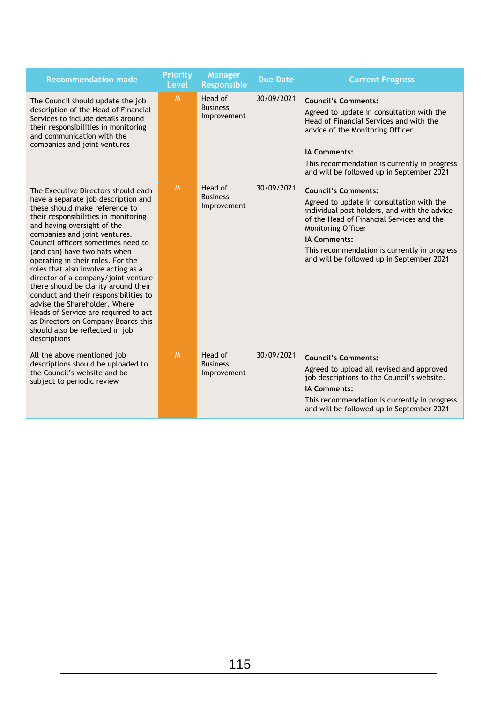| <b>Recommendation made</b>                                                                                                                                                                                                                                                                                                                                                                                                                                                                                                                                                                                                                                        | Priority<br><b>Level</b> | <b>Manager</b><br>Responsible             | <b>Due Date</b> | <b>Current Progress</b>                                                                                                                                                                                                                                                                                        |
|-------------------------------------------------------------------------------------------------------------------------------------------------------------------------------------------------------------------------------------------------------------------------------------------------------------------------------------------------------------------------------------------------------------------------------------------------------------------------------------------------------------------------------------------------------------------------------------------------------------------------------------------------------------------|--------------------------|-------------------------------------------|-----------------|----------------------------------------------------------------------------------------------------------------------------------------------------------------------------------------------------------------------------------------------------------------------------------------------------------------|
| The Council should update the job<br>description of the Head of Financial<br>Services to include details around<br>their responsibilities in monitoring<br>and communication with the<br>companies and joint ventures                                                                                                                                                                                                                                                                                                                                                                                                                                             | M                        | Head of<br><b>Business</b><br>Improvement | 30/09/2021      | <b>Council's Comments:</b><br>Agreed to update in consultation with the<br>Head of Financial Services and with the<br>advice of the Monitoring Officer.<br><b>IA Comments:</b><br>This recommendation is currently in progress<br>and will be followed up in September 2021                                    |
| The Executive Directors should each<br>have a separate job description and<br>these should make reference to<br>their responsibilities in monitoring<br>and having oversight of the<br>companies and joint ventures.<br>Council officers sometimes need to<br>(and can) have two hats when<br>operating in their roles. For the<br>roles that also involve acting as a<br>director of a company/joint venture<br>there should be clarity around their<br>conduct and their responsibilities to<br>advise the Shareholder. Where<br>Heads of Service are required to act<br>as Directors on Company Boards this<br>should also be reflected in job<br>descriptions | <b>M</b>                 | Head of<br><b>Business</b><br>Improvement | 30/09/2021      | <b>Council's Comments:</b><br>Agreed to update in consultation with the<br>individual post holders, and with the advice<br>of the Head of Financial Services and the<br>Monitoring Officer<br><b>IA Comments:</b><br>This recommendation is currently in progress<br>and will be followed up in September 2021 |
| All the above mentioned job<br>descriptions should be uploaded to<br>the Council's website and be<br>subject to periodic review                                                                                                                                                                                                                                                                                                                                                                                                                                                                                                                                   | M                        | Head of<br><b>Business</b><br>Improvement | 30/09/2021      | <b>Council's Comments:</b><br>Agreed to upload all revised and approved<br>job descriptions to the Council's website.<br><b>IA Comments:</b><br>This recommendation is currently in progress<br>and will be followed up in September 2021                                                                      |